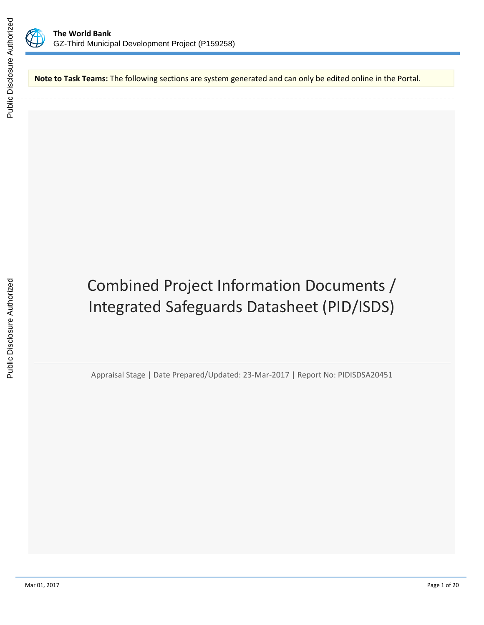

**Note to Task Teams:** The following sections are system generated and can only be edited online in the Portal.

# Combined Project Information Documents / Integrated Safeguards Datasheet (PID/ISDS)

Appraisal Stage | Date Prepared/Updated: 23-Mar-2017 | Report No: PIDISDSA20451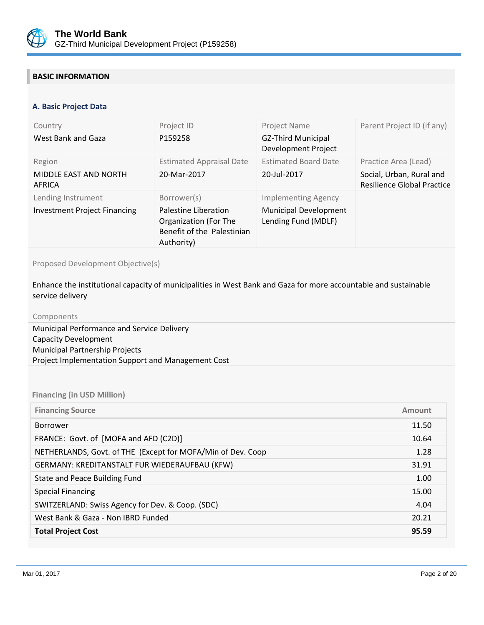

## **BASIC INFORMATION**

#### **OPS\_TABLE\_BASIC\_DATA A. Basic Project Data**

| Country<br>West Bank and Gaza                             | Project ID<br>P159258                                                                                    | Project Name<br><b>GZ-Third Municipal</b><br>Development Project                  | Parent Project ID (if any)                                                     |
|-----------------------------------------------------------|----------------------------------------------------------------------------------------------------------|-----------------------------------------------------------------------------------|--------------------------------------------------------------------------------|
| Region<br>MIDDLE EAST AND NORTH<br>AFRICA                 | <b>Estimated Appraisal Date</b><br>20-Mar-2017                                                           | <b>Estimated Board Date</b><br>20-Jul-2017                                        | Practice Area (Lead)<br>Social, Urban, Rural and<br>Resilience Global Practice |
| Lending Instrument<br><b>Investment Project Financing</b> | Borrower(s)<br>Palestine Liberation<br>Organization (For The<br>Benefit of the Palestinian<br>Authority) | <b>Implementing Agency</b><br><b>Municipal Development</b><br>Lending Fund (MDLF) |                                                                                |

Proposed Development Objective(s)

Enhance the institutional capacity of municipalities in West Bank and Gaza for more accountable and sustainable service delivery

| Components                                         |  |
|----------------------------------------------------|--|
| Municipal Performance and Service Delivery         |  |
| <b>Capacity Development</b>                        |  |
| <b>Municipal Partnership Projects</b>              |  |
| Project Implementation Support and Management Cost |  |
|                                                    |  |

## **Financing (in USD Million)**

| <b>Financing Source</b>                                     | Amount |
|-------------------------------------------------------------|--------|
| Borrower                                                    | 11.50  |
| FRANCE: Govt. of [MOFA and AFD (C2D)]                       | 10.64  |
| NETHERLANDS, Govt. of THE (Except for MOFA/Min of Dev. Coop | 1.28   |
| GERMANY: KREDITANSTALT FUR WIEDERAUFBAU (KFW)               | 31.91  |
| State and Peace Building Fund                               | 1.00   |
| <b>Special Financing</b>                                    | 15.00  |
| SWITZERLAND: Swiss Agency for Dev. & Coop. (SDC)            | 4.04   |
| West Bank & Gaza - Non IBRD Funded                          | 20.21  |
| <b>Total Project Cost</b>                                   | 95.59  |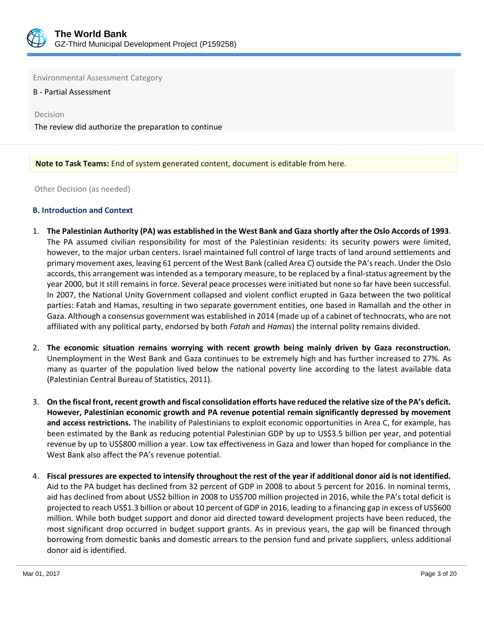

Environmental Assessment Category

B - Partial Assessment

Decision

The review did authorize the preparation to continue

## **Note to Task Teams:** End of system generated content, document is editable from here.

Other Decision (as needed)

#### **B. Introduction and Context**

- 1. **The Palestinian Authority (PA) was established in the West Bank and Gaza shortly after the Oslo Accords of 1993**. The PA assumed civilian responsibility for most of the Palestinian residents: its security powers were limited, however, to the major urban centers. Israel maintained full control of large tracts of land around settlements and primary movement axes, leaving 61 percent of the West Bank (called Area C) outside the PA's reach. Under the Oslo accords, this arrangement was intended as a temporary measure, to be replaced by a final-status agreement by the year 2000, but it still remains in force. Several peace processes were initiated but none so far have been successful. In 2007, the National Unity Government collapsed and violent conflict erupted in Gaza between the two political parties: Fatah and Hamas, resulting in two separate government entities, one based in Ramallah and the other in Gaza. Although a consensus government was established in 2014 (made up of a cabinet of technocrats, who are not affiliated with any political party, endorsed by both *Fatah* and *Hamas*) the internal polity remains divided.
- 2. **The economic situation remains worrying with recent growth being mainly driven by Gaza reconstruction.** Unemployment in the West Bank and Gaza continues to be extremely high and has further increased to 27%. As many as quarter of the population lived below the national poverty line according to the latest available data (Palestinian Central Bureau of Statistics, 2011).
- 3. **On the fiscal front, recent growth and fiscal consolidation efforts have reduced the relative size of the PA's deficit. However, Palestinian economic growth and PA revenue potential remain significantly depressed by movement and access restrictions.** The inability of Palestinians to exploit economic opportunities in Area C, for example, has been estimated by the Bank as reducing potential Palestinian GDP by up to US\$3.5 billion per year, and potential revenue by up to US\$800 million a year. Low tax effectiveness in Gaza and lower than hoped for compliance in the West Bank also affect the PA's revenue potential.
- 4. **Fiscal pressures are expected to intensify throughout the rest of the year if additional donor aid is not identified.** Aid to the PA budget has declined from 32 percent of GDP in 2008 to about 5 percent for 2016. In nominal terms, aid has declined from about US\$2 billion in 2008 to US\$700 million projected in 2016, while the PA's total deficit is projected to reach US\$1.3 billion or about 10 percent of GDP in 2016, leading to a financing gap in excess of US\$600 million. While both budget support and donor aid directed toward development projects have been reduced, the most significant drop occurred in budget support grants. As in previous years, the gap will be financed through borrowing from domestic banks and domestic arrears to the pension fund and private suppliers, unless additional donor aid is identified.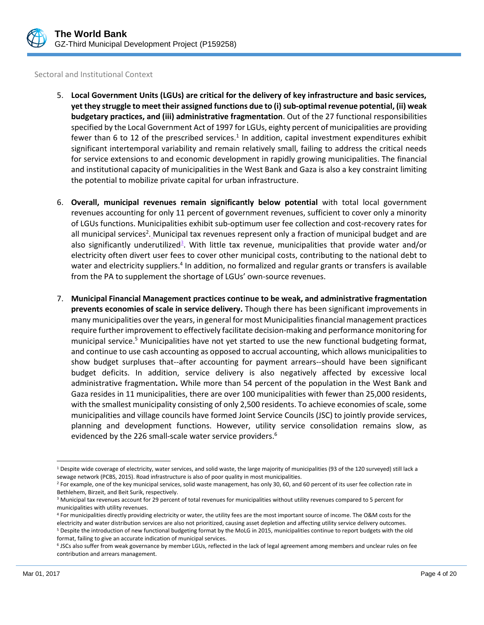

#### Sectoral and Institutional Context

- 5. **Local Government Units (LGUs) are critical for the delivery of key infrastructure and basic services, yet they struggle to meet their assigned functions due to (i) sub-optimal revenue potential, (ii) weak budgetary practices, and (iii) administrative fragmentation**. Out of the 27 functional responsibilities specified by the Local Government Act of 1997 for LGUs, eighty percent of municipalities are providing fewer than 6 to 12 of the prescribed services.<sup>1</sup> In addition, capital investment expenditures exhibit significant intertemporal variability and remain relatively small, failing to address the critical needs for service extensions to and economic development in rapidly growing municipalities. The financial and institutional capacity of municipalities in the West Bank and Gaza is also a key constraint limiting the potential to mobilize private capital for urban infrastructure.
- 6. **Overall, municipal revenues remain significantly below potential** with total local government revenues accounting for only 11 percent of government revenues, sufficient to cover only a minority of LGUs functions. Municipalities exhibit sub-optimum user fee collection and cost-recovery rates for all municipal services<sup>2</sup>. Municipal tax revenues represent only a fraction of municipal budget and are also significantly underutilized<sup>3</sup>. With little tax revenue, municipalities that provide water and/or electricity often divert user fees to cover other municipal costs, contributing to the national debt to water and electricity suppliers.<sup>4</sup> In addition, no formalized and regular grants or transfers is available from the PA to supplement the shortage of LGUs' own-source revenues.
- 7. **Municipal Financial Management practices continue to be weak, and administrative fragmentation prevents economies of scale in service delivery.** Though there has been significant improvements in many municipalities over the years, in general for most Municipalities financial management practices require further improvement to effectively facilitate decision-making and performance monitoring for municipal service.<sup>5</sup> Municipalities have not yet started to use the new functional budgeting format, and continue to use cash accounting as opposed to accrual accounting, which allows municipalities to show budget surpluses that--after accounting for payment arrears--should have been significant budget deficits. In addition, service delivery is also negatively affected by excessive local administrative fragmentation**.** While more than 54 percent of the population in the West Bank and Gaza resides in 11 municipalities, there are over 100 municipalities with fewer than 25,000 residents, with the smallest municipality consisting of only 2,500 residents. To achieve economies of scale, some municipalities and village councils have formed Joint Service Councils (JSC) to jointly provide services, planning and development functions. However, utility service consolidation remains slow, as evidenced by the 226 small-scale water service providers.<sup>6</sup>

<sup>&</sup>lt;sup>1</sup> Despite wide coverage of electricity, water services, and solid waste, the large majority of municipalities (93 of the 120 surveyed) still lack a sewage network (PCBS, 2015). Road infrastructure is also of poor quality in most municipalities.

<sup>&</sup>lt;sup>2</sup> For example, one of the key municipal services, solid waste management, has only 30, 60, and 60 percent of its user fee collection rate in Bethlehem, Birzeit, and Beit Surik, respectively.

<sup>&</sup>lt;sup>3</sup> Municipal tax revenues account for 29 percent of total revenues for municipalities without utility revenues compared to 5 percent for municipalities with utility revenues.

<sup>4</sup> For municipalities directly providing electricity or water, the utility fees are the most important source of income. The O&M costs for the electricity and water distribution services are also not prioritized, causing asset depletion and affecting utility service delivery outcomes. <sup>5</sup> Despite the introduction of new functional budgeting format by the MoLG in 2015, municipalities continue to report budgets with the old format, failing to give an accurate indication of municipal services.

<sup>&</sup>lt;sup>6</sup> JSCs also suffer from weak governance by member LGUs, reflected in the lack of legal agreement among members and unclear rules on fee contribution and arrears management.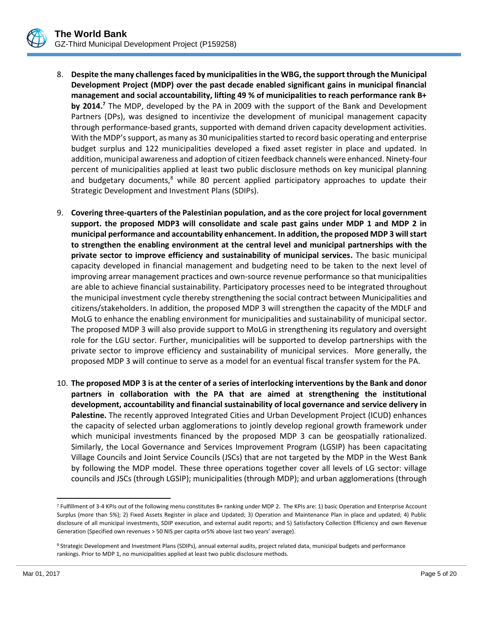- 8. **Despite the many challenges faced by municipalities in the WBG, the support through the Municipal Development Project (MDP) over the past decade enabled significant gains in municipal financial management and social accountability, lifting 49 % of municipalities to reach performance rank B+ by 2014.<sup>7</sup>** The MDP, developed by the PA in 2009 with the support of the Bank and Development Partners (DPs), was designed to incentivize the development of municipal management capacity through performance-based grants, supported with demand driven capacity development activities. With the MDP's support, as many as 30 municipalities started to record basic operating and enterprise budget surplus and 122 municipalities developed a fixed asset register in place and updated. In addition, municipal awareness and adoption of citizen feedback channels were enhanced. Ninety-four percent of municipalities applied at least two public disclosure methods on key municipal planning and budgetary documents, ${}^{8}$  while 80 percent applied participatory approaches to update their Strategic Development and Investment Plans (SDIPs).
- 9. **Covering three-quarters of the Palestinian population, and as the core project for local government support. the proposed MDP3 will consolidate and scale past gains under MDP 1 and MDP 2 in municipal performance and accountability enhancement. In addition, the proposed MDP 3 will start to strengthen the enabling environment at the central level and municipal partnerships with the private sector to improve efficiency and sustainability of municipal services.** The basic municipal capacity developed in financial management and budgeting need to be taken to the next level of improving arrear management practices and own-source revenue performance so that municipalities are able to achieve financial sustainability. Participatory processes need to be integrated throughout the municipal investment cycle thereby strengthening the social contract between Municipalities and citizens/stakeholders. In addition, the proposed MDP 3 will strengthen the capacity of the MDLF and MoLG to enhance the enabling environment for municipalities and sustainability of municipal sector. The proposed MDP 3 will also provide support to MoLG in strengthening its regulatory and oversight role for the LGU sector. Further, municipalities will be supported to develop partnerships with the private sector to improve efficiency and sustainability of municipal services. More generally, the proposed MDP 3 will continue to serve as a model for an eventual fiscal transfer system for the PA.
- 10. **The proposed MDP 3 is at the center of a series of interlocking interventions by the Bank and donor partners in collaboration with the PA that are aimed at strengthening the institutional development, accountability and financial sustainability of local governance and service delivery in Palestine.** The recently approved Integrated Cities and Urban Development Project (ICUD) enhances the capacity of selected urban agglomerations to jointly develop regional growth framework under which municipal investments financed by the proposed MDP 3 can be geospatially rationalized. Similarly, the Local Governance and Services Improvement Program (LGSIP) has been capacitating Village Councils and Joint Service Councils (JSCs) that are not targeted by the MDP in the West Bank by following the MDP model. These three operations together cover all levels of LG sector: village councils and JSCs (through LGSIP); municipalities (through MDP); and urban agglomerations (through

<sup>7</sup> Fulfillment of 3-4 KPIs out of the following menu constitutes B+ ranking under MDP 2. The KPIs are: 1) basic Operation and Enterprise Account Surplus (more than 5%); 2) Fixed Assets Register in place and Updated; 3) Operation and Maintenance Plan in place and updated; 4) Public disclosure of all municipal investments, SDIP execution, and external audit reports; and 5) Satisfactory Collection Efficiency and own Revenue Generation (Specified own revenues > 50 NIS per capita or5% above last two years' average).

<sup>8</sup> Strategic Development and Investment Plans (SDIPs), annual external audits, project related data, municipal budgets and performance rankings. Prior to MDP 1, no municipalities applied at least two public disclosure methods.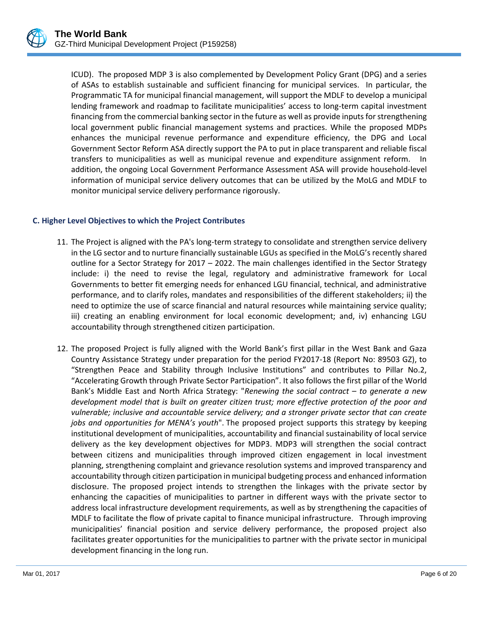ICUD). The proposed MDP 3 is also complemented by Development Policy Grant (DPG) and a series of ASAs to establish sustainable and sufficient financing for municipal services. In particular, the Programmatic TA for municipal financial management, will support the MDLF to develop a municipal lending framework and roadmap to facilitate municipalities' access to long-term capital investment financing from the commercial banking sector in the future as well as provide inputs for strengthening local government public financial management systems and practices. While the proposed MDPs enhances the municipal revenue performance and expenditure efficiency, the DPG and Local Government Sector Reform ASA directly support the PA to put in place transparent and reliable fiscal transfers to municipalities as well as municipal revenue and expenditure assignment reform. In addition, the ongoing Local Government Performance Assessment ASA will provide household-level information of municipal service delivery outcomes that can be utilized by the MoLG and MDLF to monitor municipal service delivery performance rigorously.

## **C. Higher Level Objectives to which the Project Contributes**

- 11. The Project is aligned with the PA's long-term strategy to consolidate and strengthen service delivery in the LG sector and to nurture financially sustainable LGUs as specified in the MoLG's recently shared outline for a Sector Strategy for 2017 – 2022. The main challenges identified in the Sector Strategy include: i) the need to revise the legal, regulatory and administrative framework for Local Governments to better fit emerging needs for enhanced LGU financial, technical, and administrative performance, and to clarify roles, mandates and responsibilities of the different stakeholders; ii) the need to optimize the use of scarce financial and natural resources while maintaining service quality; iii) creating an enabling environment for local economic development; and, iv) enhancing LGU accountability through strengthened citizen participation.
- 12. The proposed Project is fully aligned with the World Bank's first pillar in the West Bank and Gaza Country Assistance Strategy under preparation for the period FY2017-18 (Report No: 89503 GZ), to "Strengthen Peace and Stability through Inclusive Institutions" and contributes to Pillar No.2, "Accelerating Growth through Private Sector Participation". It also follows the first pillar of the World Bank's Middle East and North Africa Strategy: "*Renewing the social contract – to generate a new development model that is built on greater citizen trust; more effective protection of the poor and vulnerable; inclusive and accountable service delivery; and a stronger private sector that can create jobs and opportunities for MENA's youth*". The proposed project supports this strategy by keeping institutional development of municipalities, accountability and financial sustainability of local service delivery as the key development objectives for MDP3. MDP3 will strengthen the social contract between citizens and municipalities through improved citizen engagement in local investment planning, strengthening complaint and grievance resolution systems and improved transparency and accountability through citizen participation in municipal budgeting process and enhanced information disclosure. The proposed project intends to strengthen the linkages with the private sector by enhancing the capacities of municipalities to partner in different ways with the private sector to address local infrastructure development requirements, as well as by strengthening the capacities of MDLF to facilitate the flow of private capital to finance municipal infrastructure. Through improving municipalities' financial position and service delivery performance, the proposed project also facilitates greater opportunities for the municipalities to partner with the private sector in municipal development financing in the long run.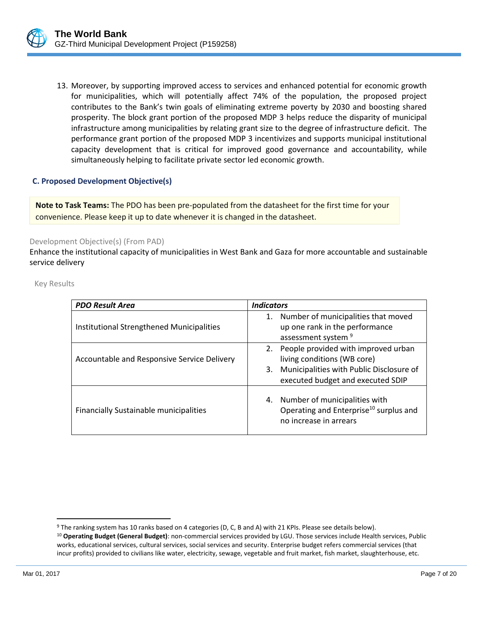

13. Moreover, by supporting improved access to services and enhanced potential for economic growth for municipalities, which will potentially affect 74% of the population, the proposed project contributes to the Bank's twin goals of eliminating extreme poverty by 2030 and boosting shared prosperity. The block grant portion of the proposed MDP 3 helps reduce the disparity of municipal infrastructure among municipalities by relating grant size to the degree of infrastructure deficit. The performance grant portion of the proposed MDP 3 incentivizes and supports municipal institutional capacity development that is critical for improved good governance and accountability, while simultaneously helping to facilitate private sector led economic growth.

## **C. Proposed Development Objective(s)**

**Note to Task Teams:** The PDO has been pre-populated from the datasheet for the first time for your convenience. Please keep it up to date whenever it is changed in the datasheet.

#### Development Objective(s) (From PAD)

Enhance the institutional capacity of municipalities in West Bank and Gaza for more accountable and sustainable service delivery

Key Results

| <b>PDO Result Area</b>                      | <b>Indicators</b>                                                                                                                                         |
|---------------------------------------------|-----------------------------------------------------------------------------------------------------------------------------------------------------------|
| Institutional Strengthened Municipalities   | 1. Number of municipalities that moved<br>up one rank in the performance<br>assessment system <sup>9</sup>                                                |
| Accountable and Responsive Service Delivery | 2. People provided with improved urban<br>living conditions (WB core)<br>3. Municipalities with Public Disclosure of<br>executed budget and executed SDIP |
| Financially Sustainable municipalities      | 4. Number of municipalities with<br>Operating and Enterprise <sup>10</sup> surplus and<br>no increase in arrears                                          |

<sup>9</sup> The ranking system has 10 ranks based on 4 categories (D, C, B and A) with 21 KPIs. Please see details below). <sup>10</sup> **Operating Budget (General Budget)**: non-commercial services provided by LGU. Those services include Health services, Public works, educational services, cultural services, social services and security. Enterprise budget refers commercial services (that

incur profits) provided to civilians like water, electricity, sewage, vegetable and fruit market, fish market, slaughterhouse, etc.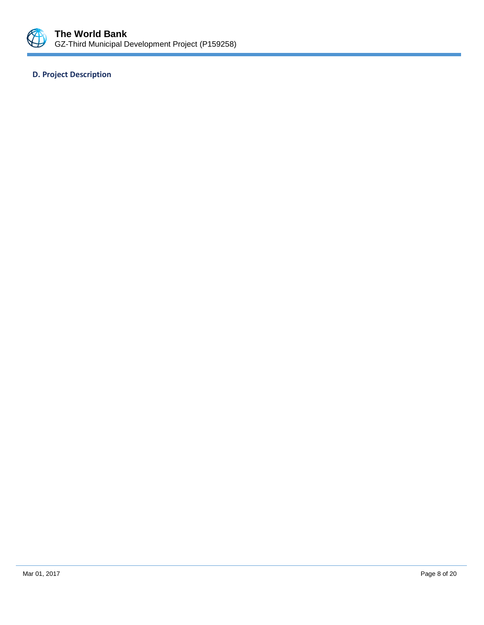

## **D. Project Description**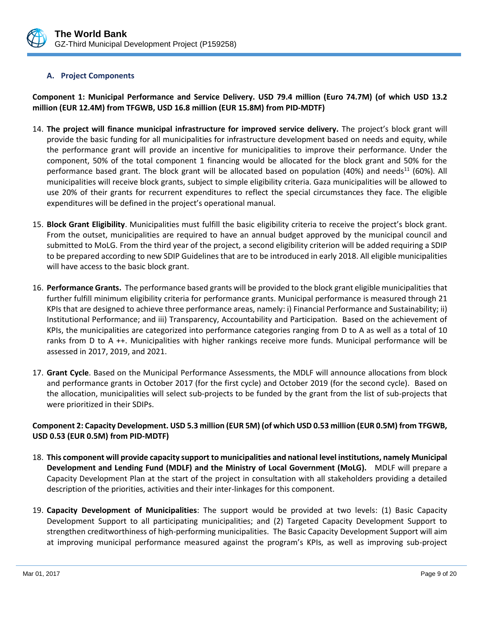

## **A. Project Components**

**Component 1: Municipal Performance and Service Delivery. USD 79.4 million (Euro 74.7M) (of which USD 13.2 million (EUR 12.4M) from TFGWB, USD 16.8 million (EUR 15.8M) from PID-MDTF)**

- 14. **The project will finance municipal infrastructure for improved service delivery.** The project's block grant will provide the basic funding for all municipalities for infrastructure development based on needs and equity, while the performance grant will provide an incentive for municipalities to improve their performance. Under the component, 50% of the total component 1 financing would be allocated for the block grant and 50% for the performance based grant. The block grant will be allocated based on population (40%) and needs<sup>11</sup> (60%). All municipalities will receive block grants, subject to simple eligibility criteria. Gaza municipalities will be allowed to use 20% of their grants for recurrent expenditures to reflect the special circumstances they face. The eligible expenditures will be defined in the project's operational manual.
- 15. **Block Grant Eligibility**. Municipalities must fulfill the basic eligibility criteria to receive the project's block grant. From the outset, municipalities are required to have an annual budget approved by the municipal council and submitted to MoLG. From the third year of the project, a second eligibility criterion will be added requiring a SDIP to be prepared according to new SDIP Guidelines that are to be introduced in early 2018. All eligible municipalities will have access to the basic block grant.
- 16. **Performance Grants.** The performance based grants will be provided to the block grant eligible municipalities that further fulfill minimum eligibility criteria for performance grants. Municipal performance is measured through 21 KPIs that are designed to achieve three performance areas, namely: i) Financial Performance and Sustainability; ii) Institutional Performance; and iii) Transparency, Accountability and Participation. Based on the achievement of KPIs, the municipalities are categorized into performance categories ranging from D to A as well as a total of 10 ranks from D to A ++. Municipalities with higher rankings receive more funds. Municipal performance will be assessed in 2017, 2019, and 2021.
- 17. **Grant Cycle**. Based on the Municipal Performance Assessments, the MDLF will announce allocations from block and performance grants in October 2017 (for the first cycle) and October 2019 (for the second cycle). Based on the allocation, municipalities will select sub-projects to be funded by the grant from the list of sub-projects that were prioritized in their SDIPs.

## **Component 2: Capacity Development. USD 5.3 million (EUR 5M) (of which USD 0.53 million (EUR 0.5M) from TFGWB, USD 0.53 (EUR 0.5M) from PID-MDTF)**

- 18. **This component will provide capacity support to municipalities and national level institutions, namely Municipal Development and Lending Fund (MDLF) and the Ministry of Local Government (MoLG).** MDLF will prepare a Capacity Development Plan at the start of the project in consultation with all stakeholders providing a detailed description of the priorities, activities and their inter-linkages for this component.
- 19. **Capacity Development of Municipalities**: The support would be provided at two levels: (1) Basic Capacity Development Support to all participating municipalities; and (2) Targeted Capacity Development Support to strengthen creditworthiness of high-performing municipalities. The Basic Capacity Development Support will aim at improving municipal performance measured against the program's KPIs, as well as improving sub-project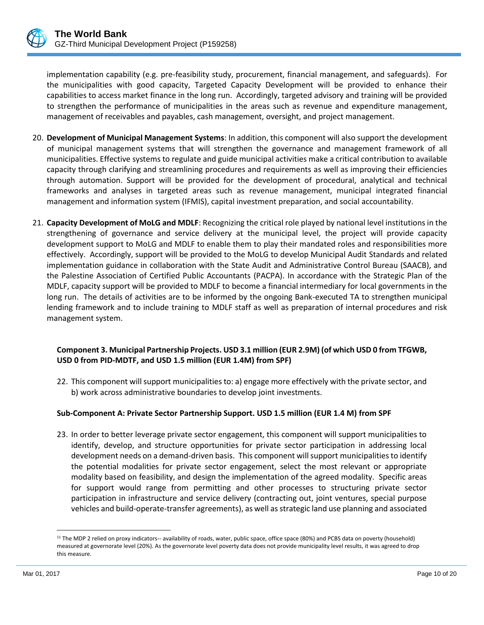

implementation capability (e.g. pre-feasibility study, procurement, financial management, and safeguards). For the municipalities with good capacity, Targeted Capacity Development will be provided to enhance their capabilities to access market finance in the long run. Accordingly, targeted advisory and training will be provided to strengthen the performance of municipalities in the areas such as revenue and expenditure management, management of receivables and payables, cash management, oversight, and project management.

- 20. **Development of Municipal Management Systems**: In addition, this component will also support the development of municipal management systems that will strengthen the governance and management framework of all municipalities. Effective systems to regulate and guide municipal activities make a critical contribution to available capacity through clarifying and streamlining procedures and requirements as well as improving their efficiencies through automation. Support will be provided for the development of procedural, analytical and technical frameworks and analyses in targeted areas such as revenue management, municipal integrated financial management and information system (IFMIS), capital investment preparation, and social accountability.
- 21. **Capacity Development of MoLG and MDLF**: Recognizing the critical role played by national level institutions in the strengthening of governance and service delivery at the municipal level, the project will provide capacity development support to MoLG and MDLF to enable them to play their mandated roles and responsibilities more effectively. Accordingly, support will be provided to the MoLG to develop Municipal Audit Standards and related implementation guidance in collaboration with the State Audit and Administrative Control Bureau (SAACB), and the Palestine Association of Certified Public Accountants (PACPA). In accordance with the Strategic Plan of the MDLF, capacity support will be provided to MDLF to become a financial intermediary for local governments in the long run. The details of activities are to be informed by the ongoing Bank-executed TA to strengthen municipal lending framework and to include training to MDLF staff as well as preparation of internal procedures and risk management system.

## **Component 3. Municipal Partnership Projects. USD 3.1 million (EUR 2.9M) (of which USD 0 from TFGWB, USD 0 from PID-MDTF, and USD 1.5 million (EUR 1.4M) from SPF)**

22. This component will support municipalities to: a) engage more effectively with the private sector, and b) work across administrative boundaries to develop joint investments.

## **Sub-Component A: Private Sector Partnership Support. USD 1.5 million (EUR 1.4 M) from SPF**

23. In order to better leverage private sector engagement, this component will support municipalities to identify, develop, and structure opportunities for private sector participation in addressing local development needs on a demand-driven basis. This component will support municipalities to identify the potential modalities for private sector engagement, select the most relevant or appropriate modality based on feasibility, and design the implementation of the agreed modality. Specific areas for support would range from permitting and other processes to structuring private sector participation in infrastructure and service delivery (contracting out, joint ventures, special purpose vehicles and build-operate-transfer agreements), as well as strategic land use planning and associated

<sup>&</sup>lt;sup>11</sup> The MDP 2 relied on proxy indicators-- availability of roads, water, public space, office space (80%) and PCBS data on poverty (household) measured at governorate level (20%). As the governorate level poverty data does not provide municipality level results, it was agreed to drop this measure.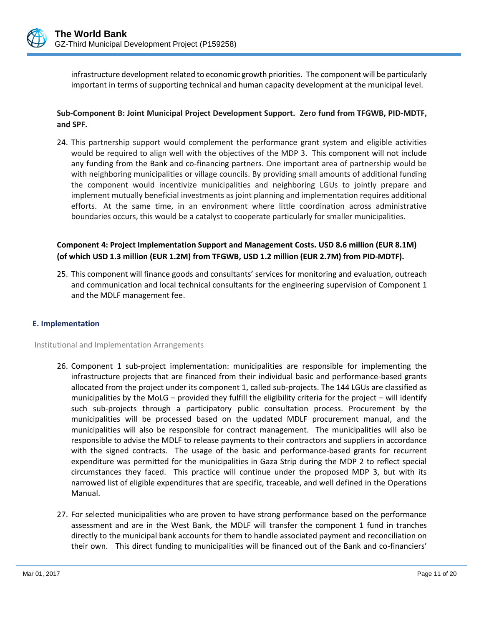

infrastructure development related to economic growth priorities. The component will be particularly important in terms of supporting technical and human capacity development at the municipal level.

## **Sub-Component B: Joint Municipal Project Development Support. Zero fund from TFGWB, PID-MDTF, and SPF.**

24. This partnership support would complement the performance grant system and eligible activities would be required to align well with the objectives of the MDP 3. This component will not include any funding from the Bank and co-financing partners. One important area of partnership would be with neighboring municipalities or village councils. By providing small amounts of additional funding the component would incentivize municipalities and neighboring LGUs to jointly prepare and implement mutually beneficial investments as joint planning and implementation requires additional efforts. At the same time, in an environment where little coordination across administrative boundaries occurs, this would be a catalyst to cooperate particularly for smaller municipalities.

## **Component 4: Project Implementation Support and Management Costs. USD 8.6 million (EUR 8.1M) (of which USD 1.3 million (EUR 1.2M) from TFGWB, USD 1.2 million (EUR 2.7M) from PID-MDTF).**

25. This component will finance goods and consultants' services for monitoring and evaluation, outreach and communication and local technical consultants for the engineering supervision of Component 1 and the MDLF management fee.

## **E. Implementation**

Institutional and Implementation Arrangements

- 26. Component 1 sub-project implementation: municipalities are responsible for implementing the infrastructure projects that are financed from their individual basic and performance-based grants allocated from the project under its component 1, called sub-projects. The 144 LGUs are classified as municipalities by the MoLG – provided they fulfill the eligibility criteria for the project – will identify such sub-projects through a participatory public consultation process. Procurement by the municipalities will be processed based on the updated MDLF procurement manual, and the municipalities will also be responsible for contract management. The municipalities will also be responsible to advise the MDLF to release payments to their contractors and suppliers in accordance with the signed contracts. The usage of the basic and performance-based grants for recurrent expenditure was permitted for the municipalities in Gaza Strip during the MDP 2 to reflect special circumstances they faced. This practice will continue under the proposed MDP 3, but with its narrowed list of eligible expenditures that are specific, traceable, and well defined in the Operations Manual.
- 27. For selected municipalities who are proven to have strong performance based on the performance assessment and are in the West Bank, the MDLF will transfer the component 1 fund in tranches directly to the municipal bank accounts for them to handle associated payment and reconciliation on their own. This direct funding to municipalities will be financed out of the Bank and co-financiers'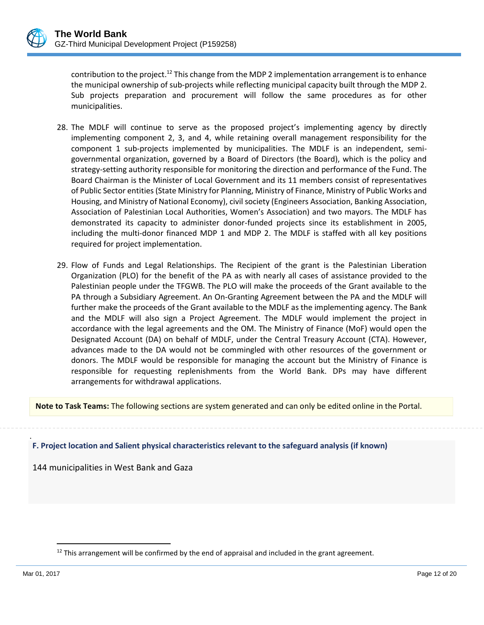

contribution to the project.<sup>12</sup> This change from the MDP 2 implementation arrangement is to enhance the municipal ownership of sub-projects while reflecting municipal capacity built through the MDP 2. Sub projects preparation and procurement will follow the same procedures as for other municipalities.

- 28. The MDLF will continue to serve as the proposed project's implementing agency by directly implementing component 2, 3, and 4, while retaining overall management responsibility for the component 1 sub-projects implemented by municipalities. The MDLF is an independent, semigovernmental organization, governed by a Board of Directors (the Board), which is the policy and strategy-setting authority responsible for monitoring the direction and performance of the Fund. The Board Chairman is the Minister of Local Government and its 11 members consist of representatives of Public Sector entities (State Ministry for Planning, Ministry of Finance, Ministry of Public Works and Housing, and Ministry of National Economy), civil society (Engineers Association, Banking Association, Association of Palestinian Local Authorities, Women's Association) and two mayors. The MDLF has demonstrated its capacity to administer donor-funded projects since its establishment in 2005, including the multi-donor financed MDP 1 and MDP 2. The MDLF is staffed with all key positions required for project implementation.
- 29. Flow of Funds and Legal Relationships. The Recipient of the grant is the Palestinian Liberation Organization (PLO) for the benefit of the PA as with nearly all cases of assistance provided to the Palestinian people under the TFGWB. The PLO will make the proceeds of the Grant available to the PA through a Subsidiary Agreement. An On-Granting Agreement between the PA and the MDLF will further make the proceeds of the Grant available to the MDLF as the implementing agency. The Bank and the MDLF will also sign a Project Agreement. The MDLF would implement the project in accordance with the legal agreements and the OM. The Ministry of Finance (MoF) would open the Designated Account (DA) on behalf of MDLF, under the Central Treasury Account (CTA). However, advances made to the DA would not be commingled with other resources of the government or donors. The MDLF would be responsible for managing the account but the Ministry of Finance is responsible for requesting replenishments from the World Bank. DPs may have different arrangements for withdrawal applications.

**Note to Task Teams:** The following sections are system generated and can only be edited online in the Portal.

. **F. Project location and Salient physical characteristics relevant to the safeguard analysis (if known)**

144 municipalities in West Bank and Gaza

 $\overline{a}$ 

 $12$  This arrangement will be confirmed by the end of appraisal and included in the grant agreement.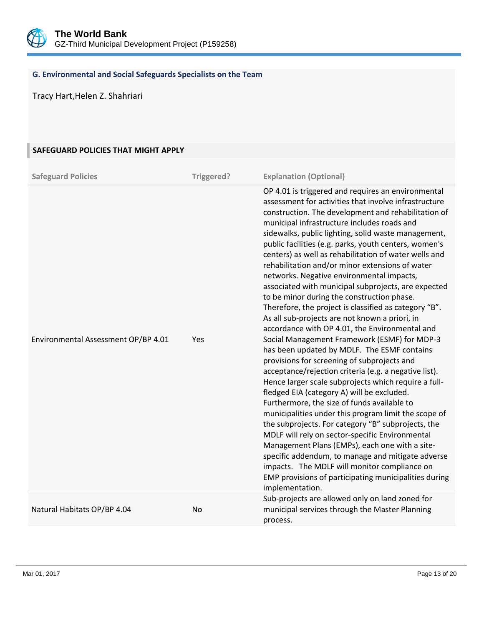

## **G. Environmental and Social Safeguards Specialists on the Team**

Tracy Hart,Helen Z. Shahriari

## **SAFEGUARD POLICIES THAT MIGHT APPLY**

| <b>Safeguard Policies</b>           | Triggered? | <b>Explanation (Optional)</b>                                                                                                                                                                                                                                                                                                                                                                                                                                                                                                                                                                                                                                                                                                                                                                                                                                                                                                                                                                                                                                                                                                                                                                                                                                                                                                                                                                                                                                                                                                |
|-------------------------------------|------------|------------------------------------------------------------------------------------------------------------------------------------------------------------------------------------------------------------------------------------------------------------------------------------------------------------------------------------------------------------------------------------------------------------------------------------------------------------------------------------------------------------------------------------------------------------------------------------------------------------------------------------------------------------------------------------------------------------------------------------------------------------------------------------------------------------------------------------------------------------------------------------------------------------------------------------------------------------------------------------------------------------------------------------------------------------------------------------------------------------------------------------------------------------------------------------------------------------------------------------------------------------------------------------------------------------------------------------------------------------------------------------------------------------------------------------------------------------------------------------------------------------------------------|
| Environmental Assessment OP/BP 4.01 | Yes        | OP 4.01 is triggered and requires an environmental<br>assessment for activities that involve infrastructure<br>construction. The development and rehabilitation of<br>municipal infrastructure includes roads and<br>sidewalks, public lighting, solid waste management,<br>public facilities (e.g. parks, youth centers, women's<br>centers) as well as rehabilitation of water wells and<br>rehabilitation and/or minor extensions of water<br>networks. Negative environmental impacts,<br>associated with municipal subprojects, are expected<br>to be minor during the construction phase.<br>Therefore, the project is classified as category "B".<br>As all sub-projects are not known a priori, in<br>accordance with OP 4.01, the Environmental and<br>Social Management Framework (ESMF) for MDP-3<br>has been updated by MDLF. The ESMF contains<br>provisions for screening of subprojects and<br>acceptance/rejection criteria (e.g. a negative list).<br>Hence larger scale subprojects which require a full-<br>fledged EIA (category A) will be excluded.<br>Furthermore, the size of funds available to<br>municipalities under this program limit the scope of<br>the subprojects. For category "B" subprojects, the<br>MDLF will rely on sector-specific Environmental<br>Management Plans (EMPs), each one with a site-<br>specific addendum, to manage and mitigate adverse<br>impacts. The MDLF will monitor compliance on<br>EMP provisions of participating municipalities during<br>implementation. |
| Natural Habitats OP/BP 4.04         | No         | Sub-projects are allowed only on land zoned for<br>municipal services through the Master Planning<br>process.                                                                                                                                                                                                                                                                                                                                                                                                                                                                                                                                                                                                                                                                                                                                                                                                                                                                                                                                                                                                                                                                                                                                                                                                                                                                                                                                                                                                                |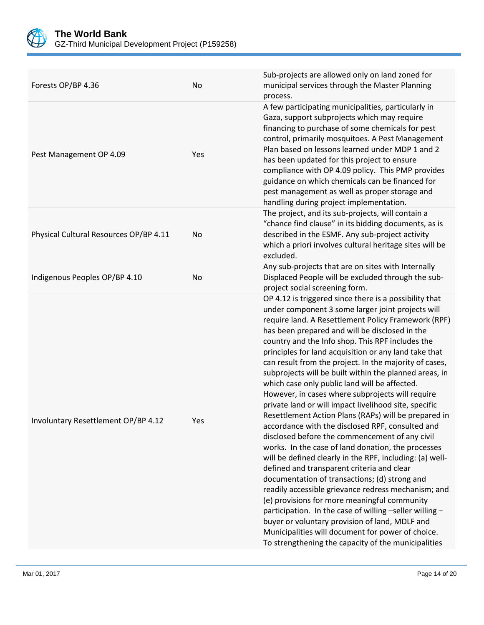

| Forests OP/BP 4.36                     | <b>No</b> | Sub-projects are allowed only on land zoned for<br>municipal services through the Master Planning<br>process.                                                                                                                                                                                                                                                                                                                                                                                                                                                                                                                                                                                                                                                                                                                                                                                                                                                                                                                                                                                                                                                                                                                                                                                                                      |
|----------------------------------------|-----------|------------------------------------------------------------------------------------------------------------------------------------------------------------------------------------------------------------------------------------------------------------------------------------------------------------------------------------------------------------------------------------------------------------------------------------------------------------------------------------------------------------------------------------------------------------------------------------------------------------------------------------------------------------------------------------------------------------------------------------------------------------------------------------------------------------------------------------------------------------------------------------------------------------------------------------------------------------------------------------------------------------------------------------------------------------------------------------------------------------------------------------------------------------------------------------------------------------------------------------------------------------------------------------------------------------------------------------|
| Pest Management OP 4.09                | Yes       | A few participating municipalities, particularly in<br>Gaza, support subprojects which may require<br>financing to purchase of some chemicals for pest<br>control, primarily mosquitoes. A Pest Management<br>Plan based on lessons learned under MDP 1 and 2<br>has been updated for this project to ensure<br>compliance with OP 4.09 policy. This PMP provides<br>guidance on which chemicals can be financed for<br>pest management as well as proper storage and<br>handling during project implementation.                                                                                                                                                                                                                                                                                                                                                                                                                                                                                                                                                                                                                                                                                                                                                                                                                   |
| Physical Cultural Resources OP/BP 4.11 | No        | The project, and its sub-projects, will contain a<br>"chance find clause" in its bidding documents, as is<br>described in the ESMF. Any sub-project activity<br>which a priori involves cultural heritage sites will be<br>excluded.                                                                                                                                                                                                                                                                                                                                                                                                                                                                                                                                                                                                                                                                                                                                                                                                                                                                                                                                                                                                                                                                                               |
| Indigenous Peoples OP/BP 4.10          | <b>No</b> | Any sub-projects that are on sites with Internally<br>Displaced People will be excluded through the sub-<br>project social screening form.                                                                                                                                                                                                                                                                                                                                                                                                                                                                                                                                                                                                                                                                                                                                                                                                                                                                                                                                                                                                                                                                                                                                                                                         |
| Involuntary Resettlement OP/BP 4.12    | Yes       | OP 4.12 is triggered since there is a possibility that<br>under component 3 some larger joint projects will<br>require land. A Resettlement Policy Framework (RPF)<br>has been prepared and will be disclosed in the<br>country and the Info shop. This RPF includes the<br>principles for land acquisition or any land take that<br>can result from the project. In the majority of cases,<br>subprojects will be built within the planned areas, in<br>which case only public land will be affected.<br>However, in cases where subprojects will require<br>private land or will impact livelihood site, specific<br>Resettlement Action Plans (RAPs) will be prepared in<br>accordance with the disclosed RPF, consulted and<br>disclosed before the commencement of any civil<br>works. In the case of land donation, the processes<br>will be defined clearly in the RPF, including: (a) well-<br>defined and transparent criteria and clear<br>documentation of transactions; (d) strong and<br>readily accessible grievance redress mechanism; and<br>(e) provisions for more meaningful community<br>participation. In the case of willing -seller willing -<br>buyer or voluntary provision of land, MDLF and<br>Municipalities will document for power of choice.<br>To strengthening the capacity of the municipalities |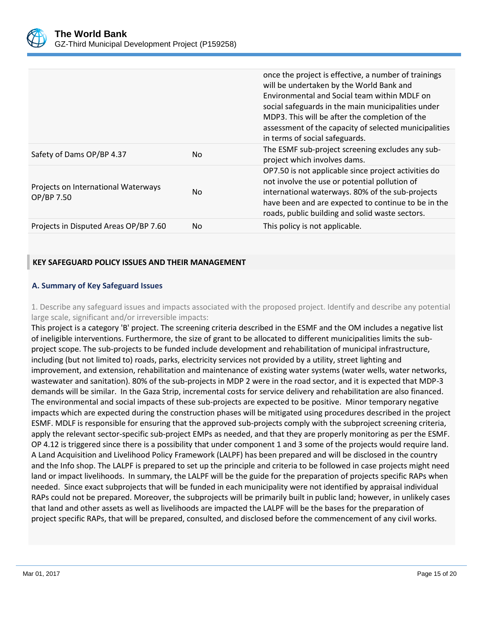

|                                                   |                | once the project is effective, a number of trainings<br>will be undertaken by the World Bank and<br>Environmental and Social team within MDLF on<br>social safeguards in the main municipalities under<br>MDP3. This will be after the completion of the<br>assessment of the capacity of selected municipalities<br>in terms of social safeguards. |
|---------------------------------------------------|----------------|-----------------------------------------------------------------------------------------------------------------------------------------------------------------------------------------------------------------------------------------------------------------------------------------------------------------------------------------------------|
| Safety of Dams OP/BP 4.37                         | No.            | The ESMF sub-project screening excludes any sub-<br>project which involves dams.                                                                                                                                                                                                                                                                    |
| Projects on International Waterways<br>OP/BP 7.50 | N <sub>0</sub> | OP7.50 is not applicable since project activities do<br>not involve the use or potential pollution of<br>international waterways. 80% of the sub-projects<br>have been and are expected to continue to be in the<br>roads, public building and solid waste sectors.                                                                                 |
| Projects in Disputed Areas OP/BP 7.60             | No             | This policy is not applicable.                                                                                                                                                                                                                                                                                                                      |

## **KEY SAFEGUARD POLICY ISSUES AND THEIR MANAGEMENT**

## **A. Summary of Key Safeguard Issues**

1. Describe any safeguard issues and impacts associated with the proposed project. Identify and describe any potential large scale, significant and/or irreversible impacts:

This project is a category 'B' project. The screening criteria described in the ESMF and the OM includes a negative list of ineligible interventions. Furthermore, the size of grant to be allocated to different municipalities limits the subproject scope. The sub-projects to be funded include development and rehabilitation of municipal infrastructure, including (but not limited to) roads, parks, electricity services not provided by a utility, street lighting and improvement, and extension, rehabilitation and maintenance of existing water systems (water wells, water networks, wastewater and sanitation). 80% of the sub-projects in MDP 2 were in the road sector, and it is expected that MDP-3 demands will be similar. In the Gaza Strip, incremental costs for service delivery and rehabilitation are also financed. The environmental and social impacts of these sub-projects are expected to be positive. Minor temporary negative impacts which are expected during the construction phases will be mitigated using procedures described in the project ESMF. MDLF is responsible for ensuring that the approved sub-projects comply with the subproject screening criteria, apply the relevant sector-specific sub-project EMPs as needed, and that they are properly monitoring as per the ESMF. OP 4.12 is triggered since there is a possibility that under component 1 and 3 some of the projects would require land. A Land Acquisition and Livelihood Policy Framework (LALPF) has been prepared and will be disclosed in the country and the Info shop. The LALPF is prepared to set up the principle and criteria to be followed in case projects might need land or impact livelihoods. In summary, the LALPF will be the guide for the preparation of projects specific RAPs when needed. Since exact subprojects that will be funded in each municipality were not identified by appraisal individual RAPs could not be prepared. Moreover, the subprojects will be primarily built in public land; however, in unlikely cases that land and other assets as well as livelihoods are impacted the LALPF will be the bases for the preparation of project specific RAPs, that will be prepared, consulted, and disclosed before the commencement of any civil works.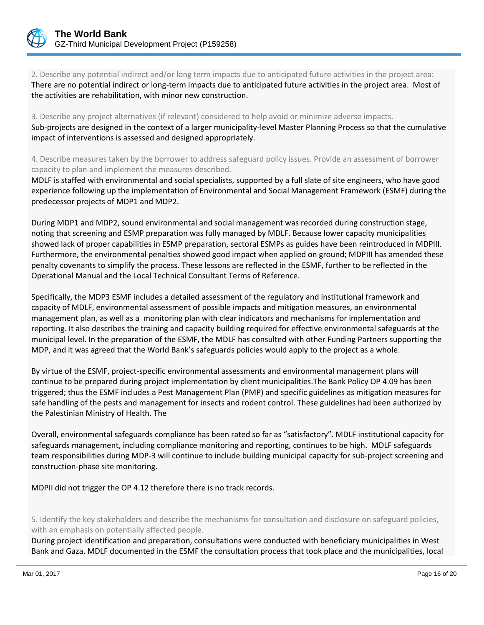

2. Describe any potential indirect and/or long term impacts due to anticipated future activities in the project area: There are no potential indirect or long-term impacts due to anticipated future activities in the project area. Most of the activities are rehabilitation, with minor new construction.

3. Describe any project alternatives (if relevant) considered to help avoid or minimize adverse impacts. Sub-projects are designed in the context of a larger municipality-level Master Planning Process so that the cumulative impact of interventions is assessed and designed appropriately.

4. Describe measures taken by the borrower to address safeguard policy issues. Provide an assessment of borrower capacity to plan and implement the measures described.

MDLF is staffed with environmental and social specialists, supported by a full slate of site engineers, who have good experience following up the implementation of Environmental and Social Management Framework (ESMF) during the predecessor projects of MDP1 and MDP2.

During MDP1 and MDP2, sound environmental and social management was recorded during construction stage, noting that screening and ESMP preparation was fully managed by MDLF. Because lower capacity municipalities showed lack of proper capabilities in ESMP preparation, sectoral ESMPs as guides have been reintroduced in MDPIII. Furthermore, the environmental penalties showed good impact when applied on ground; MDPIII has amended these penalty covenants to simplify the process. These lessons are reflected in the ESMF, further to be reflected in the Operational Manual and the Local Technical Consultant Terms of Reference.

Specifically, the MDP3 ESMF includes a detailed assessment of the regulatory and institutional framework and capacity of MDLF, environmental assessment of possible impacts and mitigation measures, an environmental management plan, as well as a monitoring plan with clear indicators and mechanisms for implementation and reporting. It also describes the training and capacity building required for effective environmental safeguards at the municipal level. In the preparation of the ESMF, the MDLF has consulted with other Funding Partners supporting the MDP, and it was agreed that the World Bank's safeguards policies would apply to the project as a whole.

By virtue of the ESMF, project-specific environmental assessments and environmental management plans will continue to be prepared during project implementation by client municipalities.The Bank Policy OP 4.09 has been triggered; thus the ESMF includes a Pest Management Plan (PMP) and specific guidelines as mitigation measures for safe handling of the pests and management for insects and rodent control. These guidelines had been authorized by the Palestinian Ministry of Health. The

Overall, environmental safeguards compliance has been rated so far as "satisfactory". MDLF institutional capacity for safeguards management, including compliance monitoring and reporting, continues to be high. MDLF safeguards team responsibilities during MDP-3 will continue to include building municipal capacity for sub-project screening and construction-phase site monitoring.

MDPII did not trigger the OP 4.12 therefore there is no track records.

5. Identify the key stakeholders and describe the mechanisms for consultation and disclosure on safeguard policies, with an emphasis on potentially affected people.

During project identification and preparation, consultations were conducted with beneficiary municipalities in West Bank and Gaza. MDLF documented in the ESMF the consultation process that took place and the municipalities, local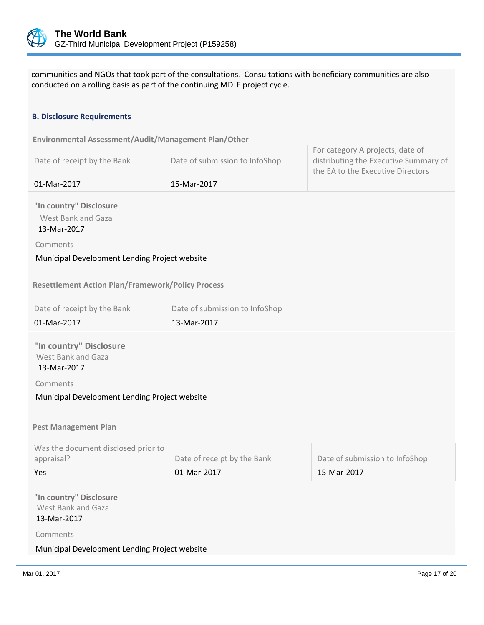

communities and NGOs that took part of the consultations. Consultations with beneficiary communities are also conducted on a rolling basis as part of the continuing MDLF project cycle.

## **B. Disclosure Requirements**

| Environmental Assessment/Audit/Management Plan/Other         |                                |                                                                                                                |
|--------------------------------------------------------------|--------------------------------|----------------------------------------------------------------------------------------------------------------|
| Date of receipt by the Bank                                  | Date of submission to InfoShop | For category A projects, date of<br>distributing the Executive Summary of<br>the EA to the Executive Directors |
| 01-Mar-2017                                                  | 15-Mar-2017                    |                                                                                                                |
| "In country" Disclosure<br>West Bank and Gaza<br>13-Mar-2017 |                                |                                                                                                                |
| Comments                                                     |                                |                                                                                                                |
| Municipal Development Lending Project website                |                                |                                                                                                                |
|                                                              |                                |                                                                                                                |
| <b>Resettlement Action Plan/Framework/Policy Process</b>     |                                |                                                                                                                |
| Date of receipt by the Bank                                  | Date of submission to InfoShop |                                                                                                                |
| 01-Mar-2017                                                  | 13-Mar-2017                    |                                                                                                                |
|                                                              |                                |                                                                                                                |
| "In country" Disclosure<br>West Bank and Gaza<br>13-Mar-2017 |                                |                                                                                                                |
| Comments                                                     |                                |                                                                                                                |
| Municipal Development Lending Project website                |                                |                                                                                                                |
|                                                              |                                |                                                                                                                |
| <b>Pest Management Plan</b>                                  |                                |                                                                                                                |
|                                                              |                                |                                                                                                                |
| Was the document disclosed prior to<br>appraisal?            | Date of receipt by the Bank    | Date of submission to InfoShop                                                                                 |
| Yes                                                          | 01-Mar-2017                    | 15-Mar-2017                                                                                                    |
|                                                              |                                |                                                                                                                |
| "In country" Disclosure<br>West Bank and Gaza<br>13-Mar-2017 |                                |                                                                                                                |
| Comments                                                     |                                |                                                                                                                |

## Municipal Development Lending Project website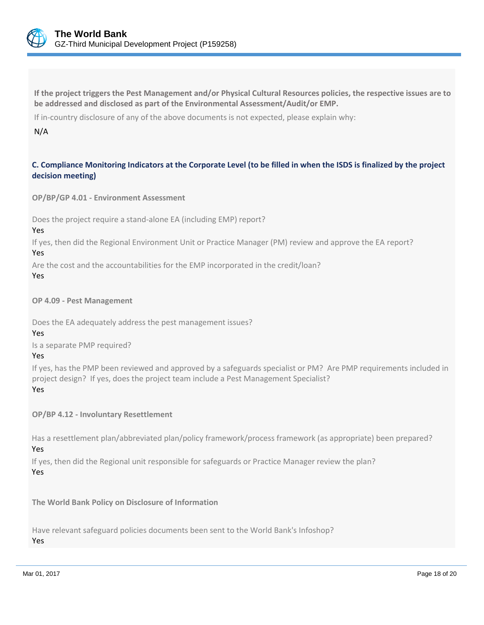

**If the project triggers the Pest Management and/or Physical Cultural Resources policies, the respective issues are to be addressed and disclosed as part of the Environmental Assessment/Audit/or EMP.**

If in-country disclosure of any of the above documents is not expected, please explain why:

## N/A

## **C. Compliance Monitoring Indicators at the Corporate Level (to be filled in when the ISDS is finalized by the project decision meeting)**

**OP/BP/GP 4.01 - Environment Assessment** 

Does the project require a stand-alone EA (including EMP) report?

Yes

If yes, then did the Regional Environment Unit or Practice Manager (PM) review and approve the EA report? Yes

Are the cost and the accountabilities for the EMP incorporated in the credit/loan?

Yes

**OP 4.09 - Pest Management**

Does the EA adequately address the pest management issues?

Yes

Is a separate PMP required?

Yes

If yes, has the PMP been reviewed and approved by a safeguards specialist or PM? Are PMP requirements included in project design? If yes, does the project team include a Pest Management Specialist? Yes

**OP/BP 4.12 - Involuntary Resettlement**

Has a resettlement plan/abbreviated plan/policy framework/process framework (as appropriate) been prepared?

## Yes

If yes, then did the Regional unit responsible for safeguards or Practice Manager review the plan? Yes

**The World Bank Policy on Disclosure of Information**

Have relevant safeguard policies documents been sent to the World Bank's Infoshop? Yes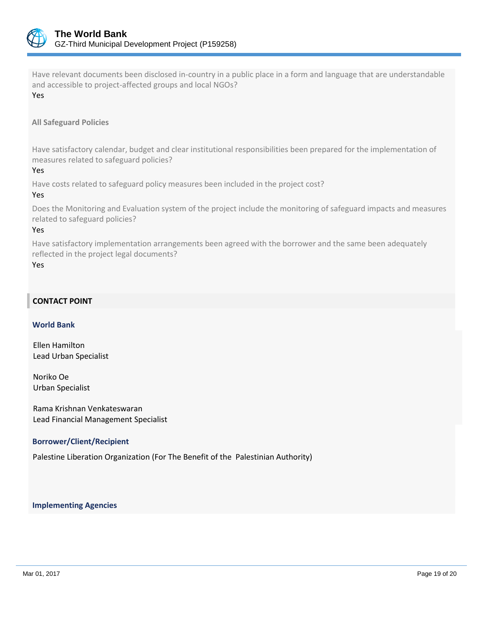

Have relevant documents been disclosed in-country in a public place in a form and language that are understandable and accessible to project-affected groups and local NGOs?

Yes

## **All Safeguard Policies**

Have satisfactory calendar, budget and clear institutional responsibilities been prepared for the implementation of measures related to safeguard policies?

Yes

Have costs related to safeguard policy measures been included in the project cost?

## Yes

Does the Monitoring and Evaluation system of the project include the monitoring of safeguard impacts and measures related to safeguard policies?

## Yes

Have satisfactory implementation arrangements been agreed with the borrower and the same been adequately reflected in the project legal documents?

Yes

## **CONTACT POINT**

## **World Bank**

Ellen Hamilton Lead Urban Specialist

Noriko Oe Urban Specialist

Rama Krishnan Venkateswaran Lead Financial Management Specialist

## **Borrower/Client/Recipient**

Palestine Liberation Organization (For The Benefit of the Palestinian Authority)

 **Implementing Agencies**